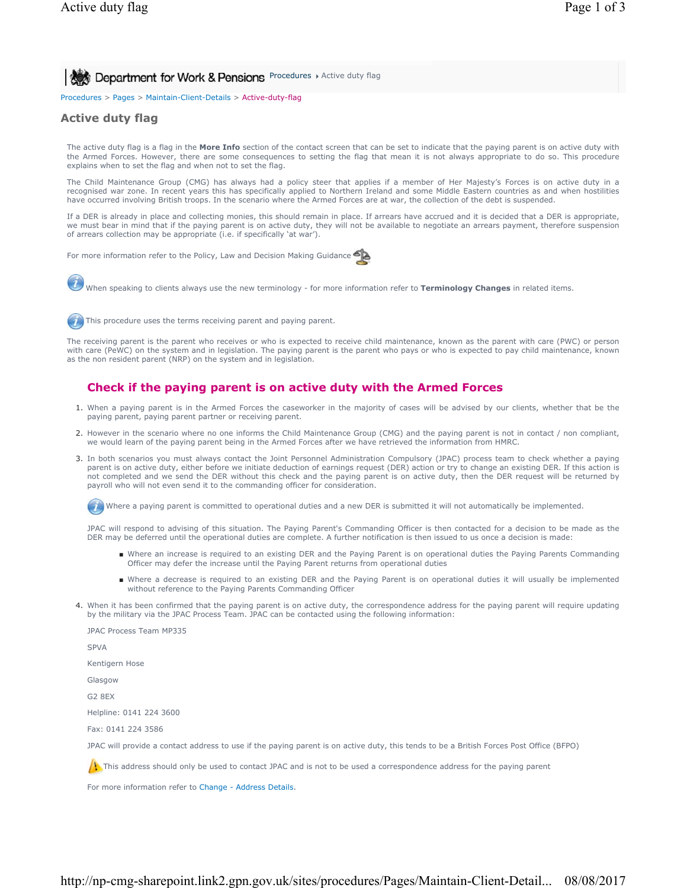Procedures > Pages > Maintain-Client-Details > Active-duty-flag

### **Active duty flag**

The active duty flag is a flag in the **More Info** section of the contact screen that can be set to indicate that the paying parent is on active duty with the Armed Forces. However, there are some consequences to setting the flag that mean it is not always appropriate to do so. This procedure explains when to set the flag and when not to set the flag.

The Child Maintenance Group (CMG) has always had a policy steer that applies if a member of Her Majesty's Forces is on active duty in a recognised war zone. In recent years this has specifically applied to Northern Ireland and some Middle Eastern countries as and when hostilities have occurred involving British troops. In the scenario where the Armed Forces are at war, the collection of the debt is suspended.

If a DER is already in place and collecting monies, this should remain in place. If arrears have accrued and it is decided that a DER is appropriate, we must bear in mind that if the paying parent is on active duty, they will not be available to negotiate an arrears payment, therefore suspension of arrears collection may be appropriate (i.e. if specifically 'at war').

For more information refer to the Policy, Law and Decision Making Guidance



This procedure uses the terms receiving parent and paying parent.

The receiving parent is the parent who receives or who is expected to receive child maintenance, known as the parent with care (PWC) or person with care (PeWC) on the system and in legislation. The paying parent is the parent who pays or who is expected to pay child maintenance, known as the non resident parent (NRP) on the system and in legislation.

### **Check if the paying parent is on active duty with the Armed Forces**

- 1. When a paying parent is in the Armed Forces the caseworker in the majority of cases will be advised by our clients, whether that be the paying parent, paying parent partner or receiving parent.
- 2. However in the scenario where no one informs the Child Maintenance Group (CMG) and the paying parent is not in contact / non compliant, we would learn of the paying parent being in the Armed Forces after we have retrieved the information from HMRC.
- In both scenarios you must always contact the Joint Personnel Administration Compulsory (JPAC) process team to check whether a paying 3. parent is on active duty, either before we initiate deduction of earnings request (DER) action or try to change an existing DER. If this action is not completed and we send the DER without this check and the paying parent is on active duty, then the DER request will be returned by payroll who will not even send it to the commanding officer for consideration.

Where a paying parent is committed to operational duties and a new DER is submitted it will not automatically be implemented.

JPAC will respond to advising of this situation. The Paying Parent's Commanding Officer is then contacted for a decision to be made as the DER may be deferred until the operational duties are complete. A further notification is then issued to us once a decision is made:

- Where an increase is required to an existing DER and the Paying Parent is on operational duties the Paying Parents Commanding Officer may defer the increase until the Paying Parent returns from operational duties
- Where a decrease is required to an existing DER and the Paying Parent is on operational duties it will usually be implemented without reference to the Paying Parents Commanding Officer
- 4. When it has been confirmed that the paying parent is on active duty, the correspondence address for the paying parent will require updating by the military via the JPAC Process Team. JPAC can be contacted using the following information:

JPAC Process Team MP335 SPVA Kentigern Hose Glasgow G2 8EX Helpline: 0141 224 3600 Fax: 0141 224 3586 JPAC will provide a contact address to use if the paying parent is on active duty, this tends to be a British Forces Post Office (BFPO) This address should only be used to contact JPAC and is not to be used a correspondence address for the paying parent

For more information refer to Change - Address Details.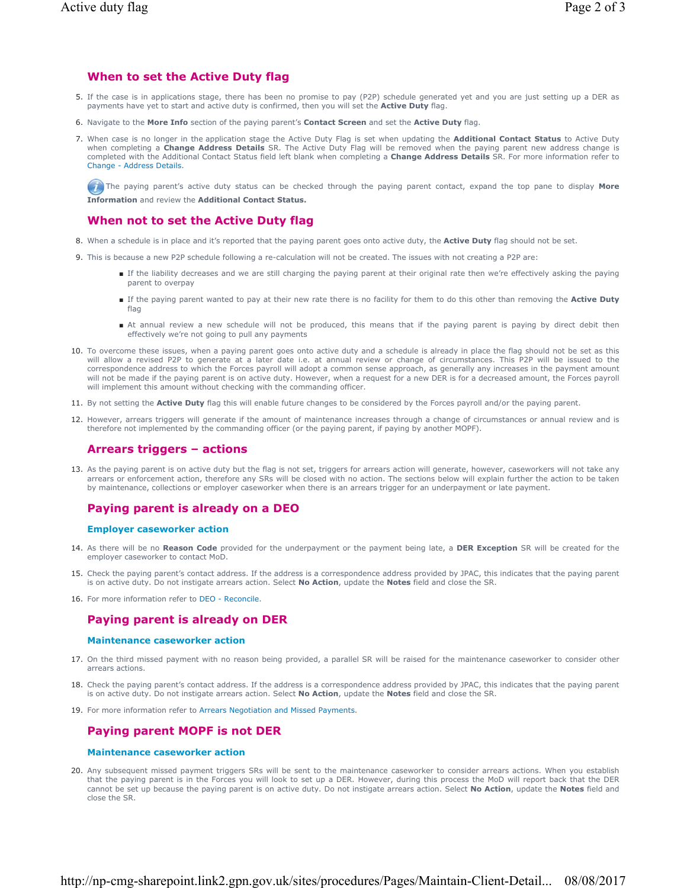# **When to set the Active Duty flag**

- 5. If the case is in applications stage, there has been no promise to pay (P2P) schedule generated yet and you are just setting up a DER as payments have yet to start and active duty is confirmed, then you will set the **Active Duty** flag.
- 6. Navigate to the **More Info** section of the paying parent's **Contact Screen** and set the **Active Duty** flag.
- 7. When case is no longer in the application stage the Active Duty Flag is set when updating the **Additional Contact Status** to Active Duty when completing a **Change Address Details** SR. The Active Duty Flag will be removed when the paying parent new address change is completed with the Additional Contact Status field left blank when completing a **Change Address Details** SR. For more information refer to Change - Address Details.

 The paying parent's active duty status can be checked through the paying parent contact, expand the top pane to display **More Information** and review the **Additional Contact Status.**

### **When not to set the Active Duty flag**

- 8. When a schedule is in place and it's reported that the paying parent goes onto active duty, the **Active Duty** flag should not be set.
- 9. This is because a new P2P schedule following a re-calculation will not be created. The issues with not creating a P2P are:
	- If the liability decreases and we are still charging the paying parent at their original rate then we're effectively asking the paying parent to overpay
	- If the paying parent wanted to pay at their new rate there is no facility for them to do this other than removing the Active Duty flag
	- At annual review a new schedule will not be produced, this means that if the paying parent is paying by direct debit then effectively we're not going to pull any payments
- 10. To overcome these issues, when a paying parent goes onto active duty and a schedule is already in place the flag should not be set as this will allow a revised P2P to generate at a later date i.e. at annual review or change of circumstances. This P2P will be issued to the correspondence address to which the Forces payroll will adopt a common sense approach, as generally any increases in the payment amount will not be made if the paying parent is on active duty. However, when a request for a new DER is for a decreased amount, the Forces payroll will implement this amount without checking with the commanding officer.
- 11. By not setting the **Active Duty** flag this will enable future changes to be considered by the Forces payroll and/or the paying parent.
- 12. However, arrears triggers will generate if the amount of maintenance increases through a change of circumstances or annual review and is therefore not implemented by the commanding officer (or the paying parent, if paying by another MOPF).

# **Arrears triggers – actions**

13. As the paying parent is on active duty but the flag is not set, triggers for arrears action will generate, however, caseworkers will not take any arrears or enforcement action, therefore any SRs will be closed with no action. The sections below will explain further the action to be taken by maintenance, collections or employer caseworker when there is an arrears trigger for an underpayment or late payment.

# **Paying parent is already on a DEO**

### **Employer caseworker action**

- 14. As there will be no Reason Code provided for the underpayment or the payment being late, a DER Exception SR will be created for the employer caseworker to contact MoD.
- 15. Check the paying parent's contact address. If the address is a correspondence address provided by JPAC, this indicates that the paying parent is on active duty. Do not instigate arrears action. Select **No Action**, update the **Notes** field and close the SR.
- 16. For more information refer to DEO Reconcile.

### **Paying parent is already on DER**

#### **Maintenance caseworker action**

- 17. On the third missed payment with no reason being provided, a parallel SR will be raised for the maintenance caseworker to consider other arrears actions.
- 18. Check the paying parent's contact address. If the address is a correspondence address provided by JPAC, this indicates that the paying parent is on active duty. Do not instigate arrears action. Select **No Action**, update the **Notes** field and close the SR.
- 19. For more information refer to Arrears Negotiation and Missed Payments.

# **Paying parent MOPF is not DER**

#### **Maintenance caseworker action**

20. Any subsequent missed payment triggers SRs will be sent to the maintenance caseworker to consider arrears actions. When you establish that the paying parent is in the Forces you will look to set up a DER. However, during this process the MoD will report back that the DER cannot be set up because the paying parent is on active duty. Do not instigate arrears action. Select **No Action**, update the **Notes** field and close the SR.